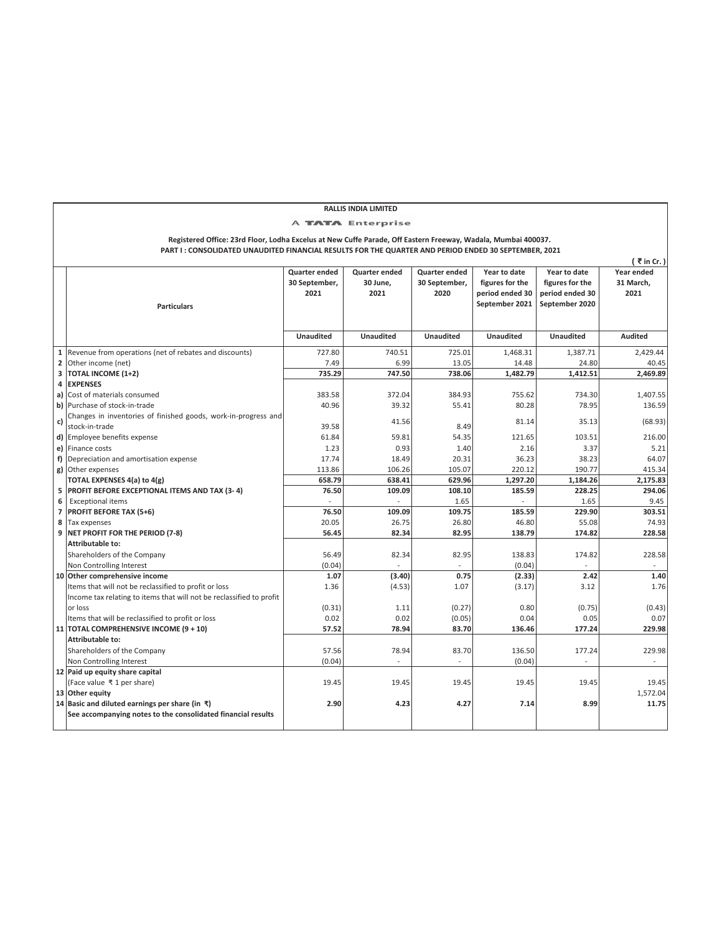| <b>RALLIS INDIA LIMITED</b>                                                                                   |                                                                      |                  |                  |                                   |                  |                  |                  |  |
|---------------------------------------------------------------------------------------------------------------|----------------------------------------------------------------------|------------------|------------------|-----------------------------------|------------------|------------------|------------------|--|
| <b>A TATA Enterprise</b>                                                                                      |                                                                      |                  |                  |                                   |                  |                  |                  |  |
| Registered Office: 23rd Floor, Lodha Excelus at New Cuffe Parade, Off Eastern Freeway, Wadala, Mumbai 400037. |                                                                      |                  |                  |                                   |                  |                  |                  |  |
| PART I: CONSOLIDATED UNAUDITED FINANCIAL RESULTS FOR THE QUARTER AND PERIOD ENDED 30 SEPTEMBER, 2021          |                                                                      |                  |                  |                                   |                  |                  |                  |  |
|                                                                                                               |                                                                      |                  |                  |                                   |                  |                  | $($ ₹ in Cr. $)$ |  |
|                                                                                                               |                                                                      | Quarter ended    | Quarter ended    | Quarter ended                     | Year to date     | Year to date     | Year ended       |  |
|                                                                                                               |                                                                      | 30 September,    | 30 June,         | 30 September,                     | figures for the  | figures for the  | 31 March,        |  |
|                                                                                                               |                                                                      | 2021             | 2021             | 2020                              | period ended 30  | period ended 30  | 2021             |  |
|                                                                                                               | <b>Particulars</b>                                                   |                  |                  |                                   | September 2021   | September 2020   |                  |  |
|                                                                                                               |                                                                      |                  |                  |                                   |                  |                  |                  |  |
|                                                                                                               |                                                                      | <b>Unaudited</b> | <b>Unaudited</b> | <b>Unaudited</b>                  | <b>Unaudited</b> | <b>Unaudited</b> | <b>Audited</b>   |  |
| $\mathbf 1$                                                                                                   | Revenue from operations (net of rebates and discounts)               | 727.80           | 740.51           | 725.01                            | 1,468.31         | 1.387.71         | 2.429.44         |  |
| 2                                                                                                             | Other income (net)                                                   | 7.49             | 6.99             | 13.05                             | 14.48            | 24.80            | 40.45            |  |
|                                                                                                               | 3 TOTAL INCOME (1+2)                                                 | 735.29           | 747.50           | 738.06                            | 1.482.79         | 1,412.51         | 2.469.89         |  |
| 4                                                                                                             | <b>EXPENSES</b>                                                      |                  |                  |                                   |                  |                  |                  |  |
| a)                                                                                                            | Cost of materials consumed                                           | 383.58           | 372.04           | 384.93                            | 755.62           | 734.30           | 1,407.55         |  |
| b)                                                                                                            | Purchase of stock-in-trade                                           | 40.96            | 39.32            | 55.41                             | 80.28            | 78.95            | 136.59           |  |
| c)                                                                                                            | Changes in inventories of finished goods, work-in-progress and       |                  | 41.56            |                                   | 81.14            | 35.13            | (68.93)          |  |
|                                                                                                               | stock-in-trade                                                       | 39.58            |                  | 8.49                              |                  |                  |                  |  |
|                                                                                                               | d) Employee benefits expense                                         | 61.84            | 59.81            | 54.35                             | 121.65           | 103.51           | 216.00           |  |
|                                                                                                               | e) Finance costs                                                     | 1.23             | 0.93             | 1.40                              | 2.16             | 3.37             | 5.21             |  |
| f)                                                                                                            | Depreciation and amortisation expense                                | 17.74            | 18.49            | 20.31                             | 36.23            | 38.23            | 64.07            |  |
| g)                                                                                                            | Other expenses                                                       | 113.86           | 106.26           | 105.07                            | 220.12           | 190.77           | 415.34           |  |
|                                                                                                               | TOTAL EXPENSES 4(a) to 4(g)                                          | 658.79           | 638.41           | 629.96                            | 1,297.20         | 1,184.26         | 2,175.83         |  |
| 5                                                                                                             | PROFIT BEFORE EXCEPTIONAL ITEMS AND TAX (3-4)                        | 76.50            | 109.09           | 108.10                            | 185.59           | 228.25           | 294.06           |  |
| 6                                                                                                             | <b>Exceptional items</b>                                             |                  |                  | 1.65                              |                  | 1.65             | 9.45             |  |
| $\overline{7}$                                                                                                | <b>PROFIT BEFORE TAX (5+6)</b>                                       | 76.50            | 109.09           | 109.75                            | 185.59           | 229.90           | 303.51           |  |
| 8                                                                                                             | Tax expenses                                                         | 20.05            | 26.75            | 26.80                             | 46.80            | 55.08            | 74.93            |  |
| 9                                                                                                             | NET PROFIT FOR THE PERIOD (7-8)                                      | 56.45            | 82.34            | 82.95                             | 138.79           | 174.82           | 228.58           |  |
|                                                                                                               | Attributable to:                                                     |                  |                  |                                   |                  |                  |                  |  |
|                                                                                                               | Shareholders of the Company                                          | 56.49            | 82.34            | 82.95                             | 138.83           | 174.82           | 228.58           |  |
|                                                                                                               | Non Controlling Interest                                             | (0.04)           |                  |                                   | (0.04)           |                  |                  |  |
|                                                                                                               | 10 Other comprehensive income                                        | 1.07             | (3.40)           | 0.75                              | (2.33)           | 2.42             | 1.40             |  |
|                                                                                                               | Items that will not be reclassified to profit or loss                | 1.36             | (4.53)           | 1.07                              | (3.17)           | 3.12             | 1.76             |  |
|                                                                                                               | Income tax relating to items that will not be reclassified to profit |                  |                  |                                   |                  |                  |                  |  |
|                                                                                                               | or loss                                                              | (0.31)           | 1.11             | (0.27)                            | 0.80             | (0.75)           | (0.43)           |  |
|                                                                                                               | Items that will be reclassified to profit or loss                    | 0.02             | 0.02             | (0.05)                            | 0.04             | 0.05             | 0.07             |  |
|                                                                                                               | 11 TOTAL COMPREHENSIVE INCOME (9 + 10)<br>Attributable to:           | 57.52            | 78.94            | 83.70                             | 136.46           | 177.24           | 229.98           |  |
|                                                                                                               |                                                                      | 57.56            |                  |                                   |                  |                  | 229.98           |  |
|                                                                                                               | Shareholders of the Company<br>Non Controlling Interest              | (0.04)           | 78.94            | 83.70<br>$\overline{\phantom{a}}$ | 136.50<br>(0.04) | 177.24           |                  |  |
|                                                                                                               | 12 Paid up equity share capital                                      |                  |                  |                                   |                  |                  |                  |  |
|                                                                                                               | (Face value ₹1 per share)                                            | 19.45            | 19.45            | 19.45                             | 19.45            | 19.45            | 19.45            |  |
|                                                                                                               | 13 Other equity                                                      |                  |                  |                                   |                  |                  | 1,572.04         |  |
|                                                                                                               | 14 Basic and diluted earnings per share (in ₹)                       | 2.90             | 4.23             | 4.27                              | 7.14             | 8.99             | 11.75            |  |
|                                                                                                               | See accompanying notes to the consolidated financial results         |                  |                  |                                   |                  |                  |                  |  |
|                                                                                                               |                                                                      |                  |                  |                                   |                  |                  |                  |  |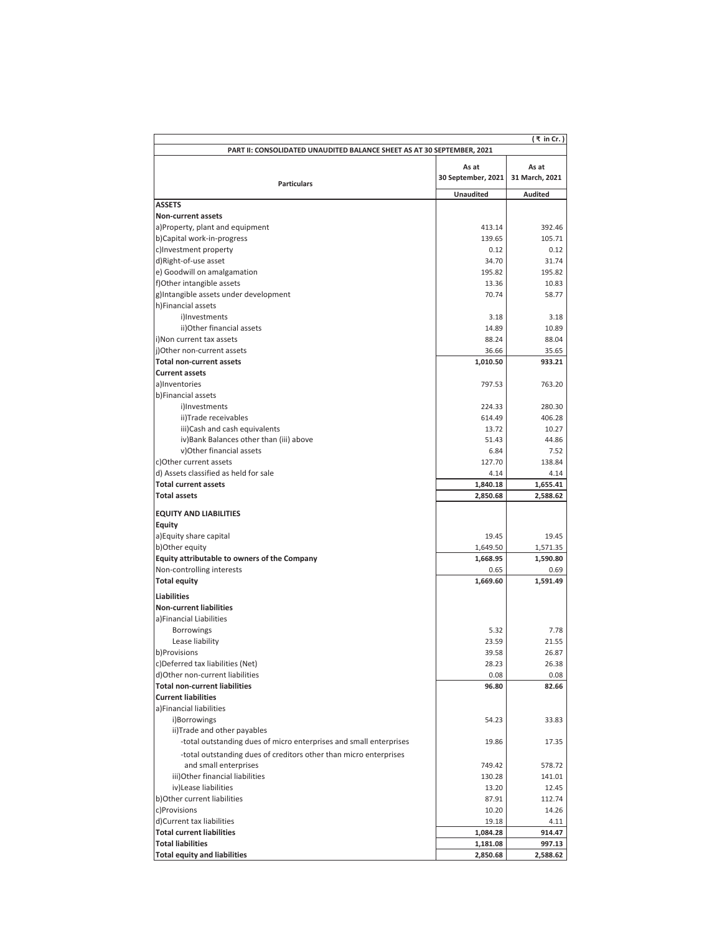| (₹ in Cr.)                                                                                        |                             |                         |  |
|---------------------------------------------------------------------------------------------------|-----------------------------|-------------------------|--|
| PART II: CONSOLIDATED UNAUDITED BALANCE SHEET AS AT 30 SEPTEMBER, 2021                            |                             |                         |  |
| <b>Particulars</b>                                                                                | As at<br>30 September, 2021 | As at<br>31 March, 2021 |  |
|                                                                                                   | <b>Unaudited</b>            | <b>Audited</b>          |  |
| <b>ASSETS</b>                                                                                     |                             |                         |  |
| <b>Non-current assets</b>                                                                         |                             |                         |  |
| a)Property, plant and equipment                                                                   | 413.14                      | 392.46                  |  |
| b)Capital work-in-progress                                                                        | 139.65                      | 105.71                  |  |
| c)Investment property                                                                             | 0.12                        | 0.12                    |  |
| d)Right-of-use asset                                                                              | 34.70                       | 31.74                   |  |
| e) Goodwill on amalgamation                                                                       | 195.82                      | 195.82                  |  |
| f)Other intangible assets                                                                         | 13.36                       | 10.83                   |  |
| g)Intangible assets under development                                                             | 70.74                       | 58.77                   |  |
| h)Financial assets                                                                                |                             |                         |  |
| i)Investments                                                                                     | 3.18                        | 3.18                    |  |
| ii) Other financial assets                                                                        | 14.89                       | 10.89                   |  |
| i)Non current tax assets                                                                          | 88.24                       | 88.04                   |  |
| j)Other non-current assets<br><b>Total non-current assets</b>                                     | 36.66                       | 35.65<br>933.21         |  |
| <b>Current assets</b>                                                                             | 1,010.50                    |                         |  |
| a)Inventories                                                                                     | 797.53                      | 763.20                  |  |
| b)Financial assets                                                                                |                             |                         |  |
| i)Investments                                                                                     | 224.33                      | 280.30                  |  |
| ii)Trade receivables                                                                              | 614.49                      | 406.28                  |  |
| iii)Cash and cash equivalents                                                                     | 13.72                       | 10.27                   |  |
| iv) Bank Balances other than (iii) above                                                          | 51.43                       | 44.86                   |  |
| v)Other financial assets                                                                          | 6.84                        | 7.52                    |  |
| c)Other current assets                                                                            | 127.70                      | 138.84                  |  |
| d) Assets classified as held for sale                                                             | 4.14                        | 4.14                    |  |
| <b>Total current assets</b>                                                                       | 1,840.18                    | 1,655.41                |  |
| <b>Total assets</b>                                                                               | 2,850.68                    | 2,588.62                |  |
|                                                                                                   |                             |                         |  |
| <b>EQUITY AND LIABILITIES</b>                                                                     |                             |                         |  |
| <b>Equity</b>                                                                                     |                             |                         |  |
| a) Equity share capital                                                                           | 19.45                       | 19.45                   |  |
| b) Other equity                                                                                   | 1,649.50                    | 1,571.35                |  |
| Equity attributable to owners of the Company                                                      | 1,668.95                    | 1,590.80                |  |
| Non-controlling interests                                                                         | 0.65                        | 0.69                    |  |
| <b>Total equity</b>                                                                               | 1,669.60                    | 1,591.49                |  |
| Liabilities                                                                                       |                             |                         |  |
| <b>Non-current liabilities</b>                                                                    |                             |                         |  |
| a)Financial Liabilities                                                                           |                             |                         |  |
| Borrowings                                                                                        | 5.32                        | 7.78                    |  |
| Lease liability                                                                                   | 23.59                       | 21.55                   |  |
| b)Provisions                                                                                      | 39.58                       | 26.87                   |  |
| c)Deferred tax liabilities (Net)                                                                  | 28.23                       | 26.38                   |  |
| d)Other non-current liabilities                                                                   | 0.08                        | 0.08                    |  |
| <b>Total non-current liabilities</b>                                                              | 96.80                       | 82.66                   |  |
| <b>Current liabilities</b>                                                                        |                             |                         |  |
| a)Financial liabilities                                                                           | 54.23                       | 33.83                   |  |
| i)Borrowings                                                                                      |                             |                         |  |
| ii)Trade and other payables<br>-total outstanding dues of micro enterprises and small enterprises | 19.86                       | 17.35                   |  |
|                                                                                                   |                             |                         |  |
| -total outstanding dues of creditors other than micro enterprises<br>and small enterprises        | 749.42                      | 578.72                  |  |
| iii) Other financial liabilities                                                                  | 130.28                      |                         |  |
| iv)Lease liabilities                                                                              | 13.20                       | 141.01                  |  |
| b) Other current liabilities                                                                      | 87.91                       | 12.45<br>112.74         |  |
| c)Provisions                                                                                      | 10.20                       | 14.26                   |  |
| d)Current tax liabilities                                                                         | 19.18                       | 4.11                    |  |
| <b>Total current liabilities</b>                                                                  | 1,084.28                    | 914.47                  |  |
| <b>Total liabilities</b>                                                                          | 1,181.08                    | 997.13                  |  |
| <b>Total equity and liabilities</b>                                                               | 2,850.68                    | 2,588.62                |  |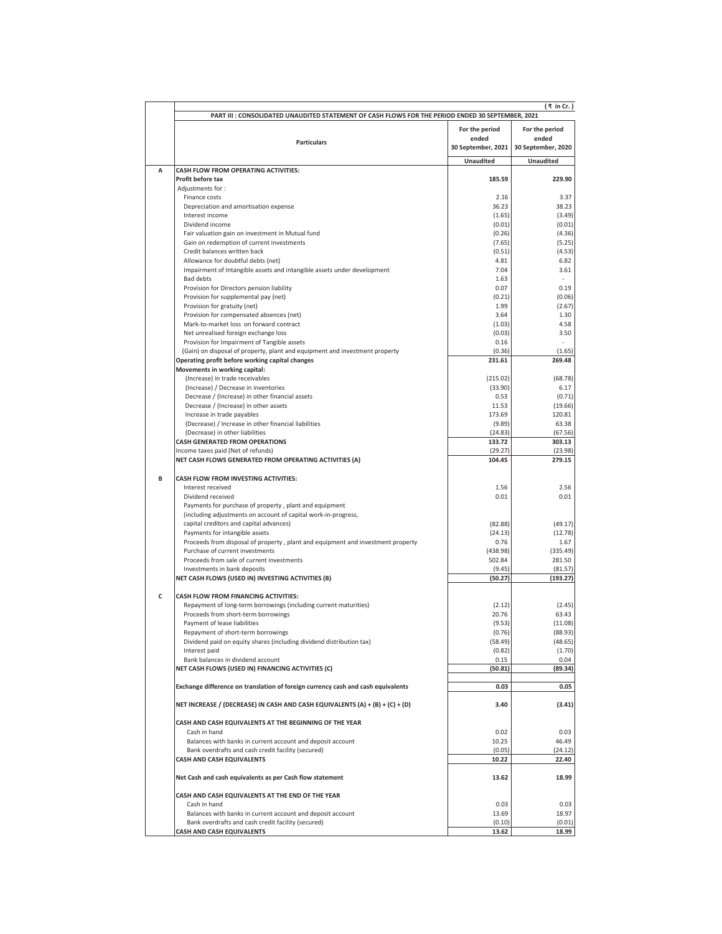|   | PART III : CONSOLIDATED UNAUDITED STATEMENT OF CASH FLOWS FOR THE PERIOD ENDED 30 SEPTEMBER, 2021                          |                         | (₹ in Cr. )             |
|---|----------------------------------------------------------------------------------------------------------------------------|-------------------------|-------------------------|
|   |                                                                                                                            |                         |                         |
|   |                                                                                                                            | For the period<br>ended | For the period<br>ended |
|   | <b>Particulars</b>                                                                                                         | 30 September, 2021      | 30 September, 2020      |
|   |                                                                                                                            | <b>Unaudited</b>        | <b>Unaudited</b>        |
| A | CASH FLOW FROM OPERATING ACTIVITIES:                                                                                       |                         |                         |
|   | Profit before tax                                                                                                          | 185.59                  | 229.90                  |
|   | Adjustments for:                                                                                                           |                         |                         |
|   | Finance costs                                                                                                              | 2.16<br>36.23           | 3.37<br>38.23           |
|   | Depreciation and amortisation expense<br>Interest income                                                                   | (1.65)                  | (3.49)                  |
|   | Dividend income                                                                                                            | (0.01)                  | (0.01)                  |
|   | Fair valuation gain on investment in Mutual fund                                                                           | (0.26)                  | (4.36)                  |
|   | Gain on redemption of current investments<br>Credit balances written back                                                  | (7.65)                  | (5.25)                  |
|   | Allowance for doubtful debts (net)                                                                                         | (0.51)<br>4.81          | (4.53)<br>6.82          |
|   | Impairment of Intangible assets and intangible assets under development                                                    | 7.04                    | 3.61                    |
|   | Bad debts                                                                                                                  | 1.63                    |                         |
|   | Provision for Directors pension liability                                                                                  | 0.07<br>(0.21)          | 0.19                    |
|   | Provision for supplemental pay (net)<br>Provision for gratuity (net)                                                       | 1.99                    | (0.06)<br>(2.67)        |
|   | Provision for compensated absences (net)                                                                                   | 3.64                    | 1.30                    |
|   | Mark-to-market loss on forward contract                                                                                    | (1.03)                  | 4.58                    |
|   | Net unrealised foreign exchange loss                                                                                       | (0.03)                  | 3.50                    |
|   | Provision for Impairment of Tangible assets<br>(Gain) on disposal of property, plant and equipment and investment property | 0.16<br>(0.36)          | (1.65)                  |
|   | Operating profit before working capital changes                                                                            | 231.61                  | 269.48                  |
|   | Movements in working capital:                                                                                              |                         |                         |
|   | (Increase) in trade receivables                                                                                            | (215.02)                | (68.78)                 |
|   | (Increase) / Decrease in inventories<br>Decrease / (Increase) in other financial assets                                    | (33.90)<br>0.53         | 6.17<br>(0.71)          |
|   | Decrease / (Increase) in other assets                                                                                      | 11.53                   | (19.66)                 |
|   | Increase in trade payables                                                                                                 | 173.69                  | 120.81                  |
|   | (Decrease) / Increase in other financial liabilities<br>(Decrease) in other liabilities                                    | (9.89)<br>(24.83)       | 63.38                   |
|   | <b>CASH GENERATED FROM OPERATIONS</b>                                                                                      | 133.72                  | (67.56)<br>303.13       |
|   | Income taxes paid (Net of refunds)                                                                                         | (29.27)                 | (23.98)                 |
|   | NET CASH FLOWS GENERATED FROM OPERATING ACTIVITIES (A)                                                                     | 104.45                  | 279.15                  |
| В | CASH FLOW FROM INVESTING ACTIVITIES:                                                                                       |                         |                         |
|   | Interest received                                                                                                          | 1.56                    | 2.56                    |
|   | Dividend received<br>Payments for purchase of property, plant and equipment                                                | 0.01                    | 0.01                    |
|   | (including adjustments on account of capital work-in-progress,                                                             |                         |                         |
|   | capital creditors and capital advances)                                                                                    | (82.88)                 | (49.17)                 |
|   | Payments for intangible assets                                                                                             | (24.13)                 | (12.78)                 |
|   | Proceeds from disposal of property, plant and equipment and investment property<br>Purchase of current investments         | 0.76<br>(438.98)        | 1.67<br>(335.49)        |
|   | Proceeds from sale of current investments                                                                                  | 502.84                  | 281.50                  |
|   | Investments in bank deposits                                                                                               | (9.45)                  | (81.57)                 |
|   | NET CASH FLOWS (USED IN) INVESTING ACTIVITIES (B)                                                                          | (50.27)                 | (193.27)                |
| c | <b>CASH FLOW FROM FINANCING ACTIVITIES:</b>                                                                                |                         |                         |
|   | Repayment of long-term borrowings (including current maturities)                                                           | (2.12)                  | (2.45)                  |
|   | Proceeds from short-term borrowings<br>Payment of lease liabilities                                                        | 20.76<br>(9.53)         | 63.43<br>(11.08)        |
|   | Repayment of short-term borrowings                                                                                         | (0.76)                  | (88.93)                 |
|   | Dividend paid on equity shares (including dividend distribution tax)                                                       | (58.49)                 | (48.65)                 |
|   | Interest paid                                                                                                              | (0.82)                  | (1.70)                  |
|   | Bank balances in dividend account<br>NET CASH FLOWS (USED IN) FINANCING ACTIVITIES (C)                                     | 0.15<br>(50.81)         | 0.04<br>(89.34)         |
|   |                                                                                                                            |                         |                         |
|   | Exchange difference on translation of foreign currency cash and cash equivalents                                           | 0.03                    | 0.05                    |
|   | NET INCREASE / (DECREASE) IN CASH AND CASH EQUIVALENTS (A) + (B) + (C) + (D)                                               | 3.40                    | (3.41)                  |
|   | CASH AND CASH EQUIVALENTS AT THE BEGINNING OF THE YEAR                                                                     |                         |                         |
|   | Cash in hand<br>Balances with banks in current account and deposit account                                                 | 0.02<br>10.25           | 0.03<br>46.49           |
|   | Bank overdrafts and cash credit facility (secured)                                                                         | (0.05)                  | (24.12)                 |
|   | <b>CASH AND CASH EQUIVALENTS</b>                                                                                           | 10.22                   | 22.40                   |
|   | Net Cash and cash equivalents as per Cash flow statement                                                                   | 13.62                   | 18.99                   |
|   | CASH AND CASH EQUIVALENTS AT THE END OF THE YEAR                                                                           |                         |                         |
|   | Cash in hand                                                                                                               | 0.03                    | 0.03                    |
|   | Balances with banks in current account and deposit account<br>Bank overdrafts and cash credit facility (secured)           | 13.69<br>(0.10)         | 18.97<br>(0.01)         |
|   | CASH AND CASH EQUIVALENTS                                                                                                  | 13.62                   | 18.99                   |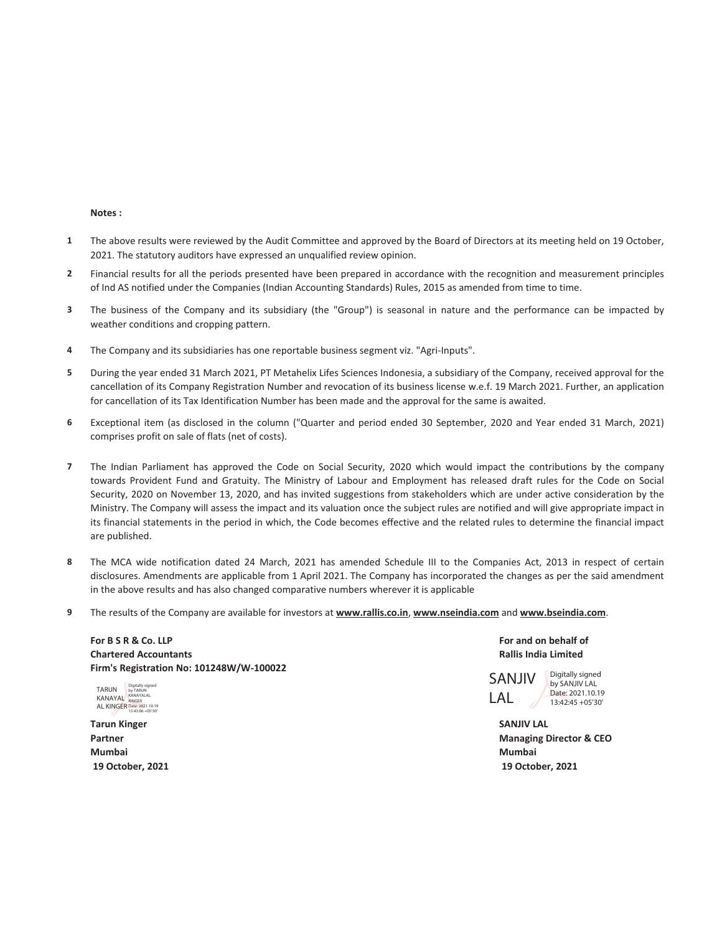#### **Notes :**

- **1** The above results were reviewed by the Audit Committee and approved by the Board of Directors at its meeting held on 19 October, 2021. The statutory auditors have expressed an unqualified review opinion.
- **2** Financial results for all the periods presented have been prepared in accordance with the recognition and measurement principles of Ind AS notified under the Companies (Indian Accounting Standards) Rules, 2015 as amended from time to time.
- **3** The business of the Company and its subsidiary (the "Group") is seasonal in nature and the performance can be impacted by weather conditions and cropping pattern.
- **4** The Company and its subsidiaries has one reportable business segment viz. "Agri-Inputs".
- **5** During the year ended 31 March 2021, PT Metahelix Lifes Sciences Indonesia, a subsidiary of the Company, received approval for the cancellation of its Company Registration Number and revocation of its business license w.e.f. 19 March 2021. Further, an application for cancellation of its Tax Identification Number has been made and the approval for the same is awaited.
- **6** Exceptional item (as disclosed in the column ("Quarter and period ended 30 September, 2020 and Year ended 31 March, 2021) comprises profit on sale of flats (net of costs).
- **7** The Indian Parliament has approved the Code on Social Security, 2020 which would impact the contributions by the company towards Provident Fund and Gratuity. The Ministry of Labour and Employment has released draft rules for the Code on Social Security, 2020 on November 13, 2020, and has invited suggestions from stakeholders which are under active consideration by the Ministry. The Company will assess the impact and its valuation once the subject rules are notified and will give appropriate impact in its financial statements in the period in which, the Code becomes effective and the related rules to determine the financial impact are published.
- **8** The MCA wide notification dated 24 March, 2021 has amended Schedule III to the Companies Act, 2013 in respect of certain disclosures. Amendments are applicable from 1 April 2021. The Company has incorporated the changes as per the said amendment in the above results and has also changed comparative numbers wherever it is applicable
- **9** The results of the Company are available for investors at **www.rallis.co.in**, **www.nseindia.com** and **www.bseindia.com**.

For B S R & Co. LLP **For and on behalf of For and on behalf of For and on behalf of For and on behalf of Chartered Accountants Rallis India Limited Firm's Registration No: 101248W/W-100022**

TARUN KANAYAL AL KINGER Digitally signed by TARUN KANAYALAL KINGER Date: 2021.10.19 15:43:06 +05'30'

**Tarun Kinger SANJIV LAL Mumbai Mumbai 19 October, 2021 19 October, 2021**

SANJIV LAL Digitally signed

by SANJIV LAL Date: 2021 10:19 13:42:45 +05'30'

**Partner Managing Director & CEO**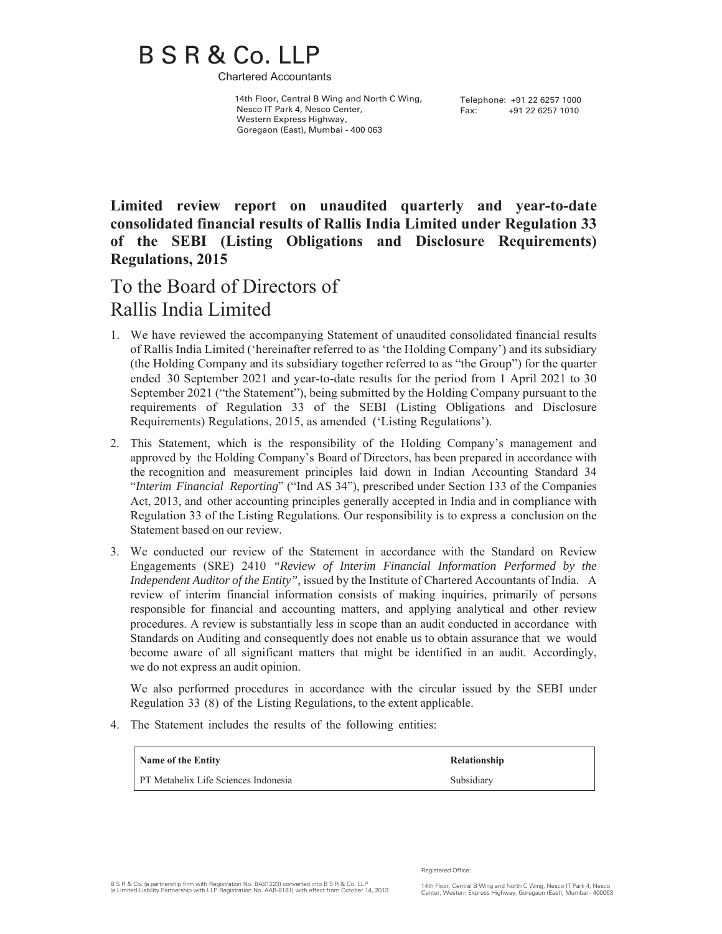# B S R & Co. LLP

Chartered Accountants

 14th Floor, Central B Wing and North C Wing, Nesco IT Park 4, Nesco Center, Western Express Highway, Goregaon (East), Mumbai - 400 063

Telephone: +91 22 6257 1000 Fax: +91 22 6257 1010

**Limited review report on unaudited quarterly and year-to-date consolidated financial results of Rallis India Limited under Regulation 33 of the SEBI (Listing Obligations and Disclosure Requirements) Regulations, 2015**

## To the Board of Directors of Rallis India Limited

- 1. We have reviewed the accompanying Statement of unaudited consolidated financial results of Rallis India Limited ('hereinafter referred to as 'the Holding Company') and its subsidiary (the Holding Company and its subsidiary together referred to as "the Group") for the quarter ended 30 September 2021 and year-to-date results for the period from 1 April 2021 to 30 September 2021 ("the Statement"), being submitted by the Holding Company pursuant to the requirements of Regulation 33 of the SEBI (Listing Obligations and Disclosure Requirements) Regulations, 2015, as amended ('Listing Regulations').
- 2. This Statement, which is the responsibility of the Holding Company's management and approved by the Holding Company's Board of Directors, has been prepared in accordance with the recognition and measurement principles laid down in Indian Accounting Standard 34 "*Interim Financial Reporting*" ("Ind AS 34"), prescribed under Section 133 of the Companies Act, 2013, and other accounting principles generally accepted in India and in compliance with Regulation 33 of the Listing Regulations. Our responsibility is to express a conclusion on the Statement based on our review.
- 3. We conducted our review of the Statement in accordance with the Standard on Review Engagements (SRE) 2410 *"Review of Interim Financial Information Performed by the Independent Auditor of the Entity",* issued by the Institute of Chartered Accountants of India. A review of interim financial information consists of making inquiries, primarily of persons responsible for financial and accounting matters, and applying analytical and other review procedures. A review is substantially less in scope than an audit conducted in accordance with Standards on Auditing and consequently does not enable us to obtain assurance that we would become aware of all significant matters that might be identified in an audit. Accordingly, we do not express an audit opinion.

We also performed procedures in accordance with the circular issued by the SEBI under Regulation 33 (8) of the Listing Regulations, to the extent applicable.

4. The Statement includes the results of the following entities:

| Name of the Entity                   | Relationship |
|--------------------------------------|--------------|
| PT Metahelix Life Sciences Indonesia | Subsidiary   |

Registered Office: